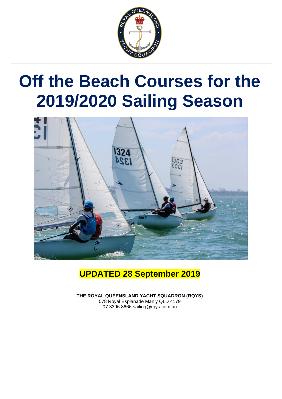

# **Off the Beach Courses for the 2019/2020 Sailing Season**



#### **UPDATED 28 September 2019**

**THE ROYAL QUEENSLAND YACHT SQUADRON (RQYS)** 578 Royal Esplanade Manly QLD 4179 07 3396 8666 sailing@rqys.com.au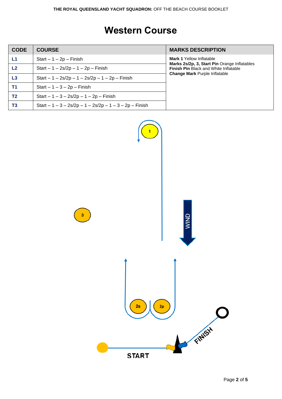#### **Western Course**

| <b>CODE</b>    | <b>COURSE</b>                                            | <b>MARKS DESCRIPTION</b>                                                                     |
|----------------|----------------------------------------------------------|----------------------------------------------------------------------------------------------|
| L1             | Start $-1 - 2p$ – Finish                                 | <b>Mark 1 Yellow Inflatable</b>                                                              |
| L <sub>2</sub> | $Start - 1 - 2s/2p - 1 - 2p - Finish$                    | Marks 2s/2p, 3, Start Pin Orange Inflatables<br><b>Finish Pin Black and White Inflatable</b> |
| L <sub>3</sub> | Start $-1 - 2s/2p - 1 - 2s/2p - 1 - 2p - F$ inish        | <b>Change Mark Purple Inflatable</b>                                                         |
| T1             | Start $-1-3-2p$ – Finish                                 |                                                                                              |
| T2             | Start $-1 - 3 - 2s/2p - 1 - 2p - F$ inish                |                                                                                              |
| T <sub>3</sub> | Start $-1 - 3 - 2s/2p - 1 - 2s/2p - 1 - 3 - 2p$ – Finish |                                                                                              |

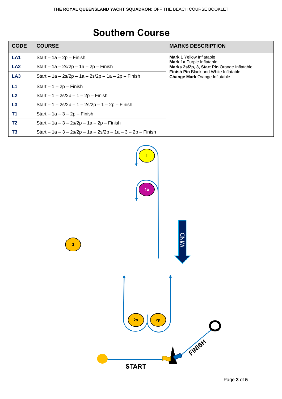### **Southern Course**

| <b>CODE</b>     | <b>COURSE</b>                                              | <b>MARKS DESCRIPTION</b>                                                             |
|-----------------|------------------------------------------------------------|--------------------------------------------------------------------------------------|
| LA <sub>1</sub> | Start $-1a - 2p - Finish$                                  | <b>Mark 1 Yellow Inflatable</b>                                                      |
| LA <sub>2</sub> | Start – $1a - 2s/2p - 1a - 2p - F$ inish                   | <b>Mark 1a Purple Inflatable</b><br>Marks 2s/2p, 3, Start Pin Orange Inflatable      |
| LA <sub>3</sub> | Start – 1a – 2s/2p – 1a – 2s/2p – 1a – 2p – Finish         | <b>Finish Pin Black and White Inflatable</b><br><b>Change Mark Orange Inflatable</b> |
| L1              | $Start - 1 - 2p - Finish$                                  |                                                                                      |
| L2              | Start $-1 - 2s/2p - 1 - 2p - F$ inish                      |                                                                                      |
| L <sub>3</sub>  | Start $-1 - 2s/2p - 1 - 2s/2p - 1 - 2p - F$ inish          |                                                                                      |
| T <sub>1</sub>  | Start $-1a - 3 - 2p$ – Finish                              |                                                                                      |
| T <sub>2</sub>  | Start $- 1a - 3 - 2s/2p - 1a - 2p - F$ inish               |                                                                                      |
| T3              | Start – 1a – 3 – 2s/2p – 1a – 2s/2p – 1a – 3 – 2p – Finish |                                                                                      |

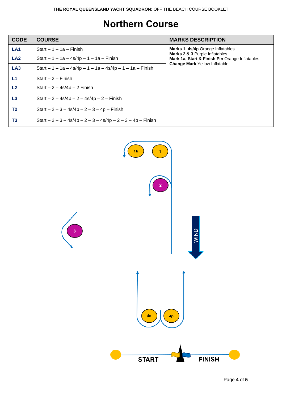#### **Northern Course**

| <b>CODE</b>     | <b>COURSE</b>                                                 | <b>MARKS DESCRIPTION</b>                                                               |
|-----------------|---------------------------------------------------------------|----------------------------------------------------------------------------------------|
| LA <sub>1</sub> | Start $-1 - 1a -$ Finish                                      | Marks 1, 4s/4p Orange Inflatables<br>Marks 2 & 3 Purple Inflatables                    |
| LA <sub>2</sub> | Start $-1 - 1a - 4s/4p - 1 - 1a - F$ inish                    | Mark 1a, Start & Finish Pin Orange Inflatables<br><b>Change Mark Yellow Inflatable</b> |
| LA <sub>3</sub> | Start $-1 - 1a - 4s/4p - 1 - 1a - 4s/4p - 1 - 1a - Finish$    |                                                                                        |
| L1              | Start $-2$ - Finish                                           |                                                                                        |
| L2              | Start $-2 - 4s/4p - 2$ Finish                                 |                                                                                        |
| L3              | Start $-2 - 4s/4p - 2 - 4s/4p - 2 - F$ inish                  |                                                                                        |
| T2              | Start $-2 - 3 - 4s/4p - 2 - 3 - 4p - F$ inish                 |                                                                                        |
| T <sub>3</sub>  | Start $-2 - 3 - 4s/4p - 2 - 3 - 4s/4p - 2 - 3 - 4p - F$ in sh |                                                                                        |